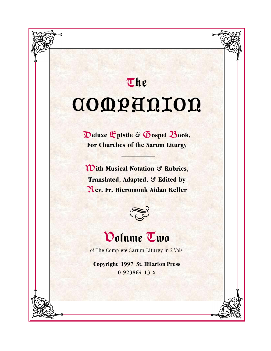# *<sup>T</sup>*he **COMPARION**

D**eluxe** E**pistle** & G**ospel** B**ook, For Churches of the Sarum Liturgy**

W**ith Musical Notation** & **Rubrics, Translated, Adapted,** & **Edited by** *R***ev. Fr. Hieromonk Aidan Keller**



## Volume Two

of The Complete Sarum Liturgy in 2 Vols.

**Copyright 1997 St. Hilarion Press 0-923864-13-X**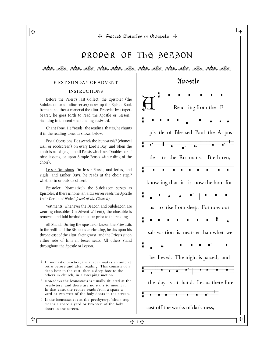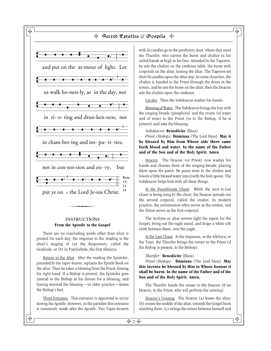

#### **From the Apostle to the Gospel** INSTRUCTIONS

There are no concluding words other than what is printed for each day; the response to the reading is the choir's singing of (a) the Responsory, called the Graduale, or (b) in Paschaltide, the first Alleluya.

Return to the Altar. After the reading the Epistoler, preceded by the taper-bearer, replaces the Epistle Book on the altar. Then he takes a blessing from the Priest, kissing his right hand. If a Bishop is present, the Epistoler goes instead to the Bishop at his throne for a blessing, and having received the blessing—in older practice—kisses the Bishop's feet.

Third Entrance. This entrance is appointed to occur during the Apostle. However, in the parishes this entrance is commonly made after the Apostle. Two Taper-bearers with lit candles go to the presbytery door, where they meet the Thurifer, who carries the burse and chalice in his veiled hands as high as his face. Attended by the Taperers, he sets the chalice on the credence table, the burse with corporals on the altar, kissing the altar. The Taperers set their lit candles upon the altar step. In some churches, the chalice is handed to the Priest through the doors in the screen, and he sets the burse on the altar, then the Deacon sets the chalice upon the credence.

Lavabo. Then the Subdeacon washes his hands.

Blessing of Water. The Subdeacon brings the tray with the singing-breads (prosphora) and the cruets (of water and of wine) to the Priest (or to the Bishop, if he is present) and asks the blessing:

*Subdeacon:* **Benedícite** (Bless).

*Priest (Bishop):* **Dóminus** (The Lord bless). **May it be blessed by Him from Whose side there came forth blood and water. In the name of the Father and of the Son and of the Holy Spirit. Amen**.

Deacon. The Deacon (or Priest) now washes his hands and chooses three of the singing-breads, placing them upon the paten. He pours wine in the chalice and lowers a little blessed water into it with the holy spoon. The Subdeacon helps him with all these things.

At the Penultimate Chant. While the next-to-last chant is being sung by the choir, the Deacon spreads out the second corporal, called the sindon. In modern practice, the antimension often serves as the sindon, and the illiton serves as the first corporal.

The Acolytes or altar servers light the tapers for the Gospel, bring out the eagle stand, and drape a white silk cloth between them, over the eagle.

At the Last Chant. At the Sequence, or the Alleluya, or the Tract, the Thurifer brings the censer to the Priest (if the Bishop is present, to the Bishop).

#### *Thurifer:* **Benedícite** (Bless).

*Priest (Bishop):* **Dóminus** (The Lord bless). **May this incense be blessed by Him in Whose honour it shall be burnt. In the name of the Father and of the Son and of the Holy Spirit. Amen.**

The Thurifer hands the censer to the Deacon (if no Deacon, to the Priest, who will perform the censing).

Deacon's Censing. The Deacon (a) kisses the altar; (b) censes the middle of the altar, towards the Gospel book standing there; (c) swings the censer between himself and

ᡩ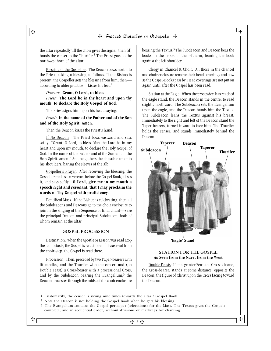the altar repeatedly till the choir gives the signal; then (d) hands the censer to the Thurifer.<sup>1</sup> The Priest goes to the northwest horn of the altar.

Blessing of the Gospeller. The Deacon bows north, to the Priest, asking a blessing as follows. If the Bishop is present, the Gospeller gets the blessing from him, then according to older practice—kisses his feet.2

#### *Deacon:* **Grant, O Lord, to bless**. *Priest:* **The Lord be in thy heart and upon thy mouth, to declare the Holy Gospel of God**.

The Priest signs him upon his head, saying:

*Priest:* **In the name of the Father and of the Son and of the Holy Spirit. Amen**.

Then the Deacon kisses the Priest's hand.

If No Deacon. The Priest bows eastward and says softly, "Grant, O Lord, to bless. May the Lord be in my heart and upon my mouth, to declare the Holy Gospel of God. In the name of the Father and of the Son and of the Holy Spirit. Amen." And he gathers the chasuble up onto his shoulders, baring the sleeves of the alb.

Gospeller's Prayer. After receiving the blessing, the Gospeller makes a reverence before the Gospel Book, kisses it, and says softly: **O Lord, give me in my mouth a speech right and resonant, that I may proclaim the words of Thy Gospel with proficiency**.

Pontifical Mass. If the Bishop is celebrating, then all the Subdeacons and Deacons go to the choir enclosure to join in the singing of the Sequence or final chant—save the principal Deacon and principal Subdeacon, both of whom remain at the altar.

#### GOSPEL PROCESSION

Destination. When the Apostle or Lesson was read atop the iconostasis, the Gospel is read there. If it was read from the choir-step, the Gospel is read there.

Procession. Then, preceded by two Taper-bearers with lit candles, and the Thurifer with the censer, and (on Double Feast) a Cross-bearer with a processional Cross, and by the Subdeacon bearing the Evangelium, $3$  the Deacon processes through the midst of the choir enclosure

bearing the Textus.<sup>3</sup> The Subdeacon and Deacon bear the books in the crook of the left arm, leaning the book against the left shoulder.

Clergy in Chancel & Choir. All those in the chancel and choir enclosure remove their head coverings and bow as the Gospel-Books pass by. Head coverings are not put on again until after the Gospel has been read.

Station at the Eagle. When the procession has reached the eagle stand, the Deacon stands in the centre, to read slightly northward. The Subdeacon sets the Evangelium upon the eagle, and the Deacon hands him the Textus. The Subdeacon leans the Textus against his breast. Immediately to the right and left of the Deacon stand the Taper-bearers, turned inward to face him. The Thurifer holds the censer, and stands immediately behind the Deacon.



#### STATION FOR THE GOSPEL **As Seen from the Nave, from the West**

Double Feasts: If on a greater Feast the Cross is borne, the Cross-bearer, stands at some distance, opposite the Deacon, the figure of Christ upon the Cross facing toward the Deacon.

- 1 Customarily, the censer is swung nine times towards the altar / Gospel Book.
- 2 Note the Deacon is not holding the Gospel Book when he gets his blessing.
- 3 The Evangelium contains the Gospel pericopes (selecctions) for the Mass. The Textus gives the Gospels complete, and in sequential order, without divisions or markings for chanting.

 $\mathbf{H}$  and  $\mathbf{H}$  are all  $\mathbf{H}$  and  $\mathbf{H}$  are all  $\mathbf{H}$  and  $\mathbf{H}$  are all  $\mathbf{H}$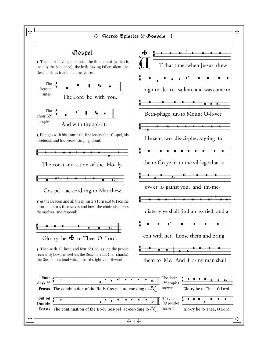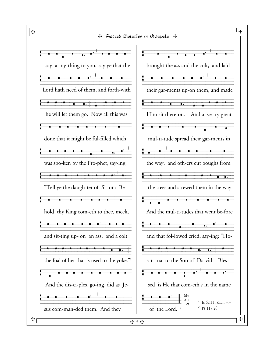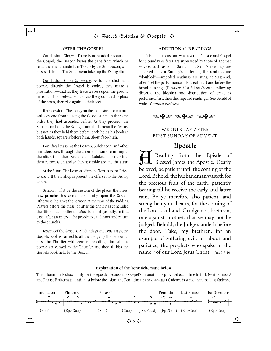#### AFTER THE GOSPEL

Conclusion: Clergy. There is no worded response to the Gospel; the Deacon kisses the page from which he read; then he is handed the Textus by the Subdeacon, who kisses his hand. The Subdeacon takes up the Evangelium.

Conclusion: Choir & People: As for the choir and people, directly the Gospel is ended, they make a prostration—that is, they trace a cross upon the ground in front of themselves, bend to kiss the ground at the place of the cross, then rise again to their feet.

Retrocession. The clergy on the iconostasis or chancel wall descend from it using the Gospel stairs, in the same order they had ascended before. As they proceed, the Subdeacon holds the Evangelium, the Deacon the Textus, but not as they held them before: each holds his book in both hands, squarely before him, about face-high.

Pontifical Mass. As the Deacon, Subdeacon, and other ministers pass through the choir enclosure returning to the altar, the other Deacons and Subdeacons enter into their retrocession and so they assemble around the altar.

At the Altar. The Deacon offers the Textus to the Priest to kiss.1 If the Bishop is present, he offers it to the Bishop to kiss.

Sermon. If it be the custom of the place, the Priest now preaches his sermon or homily upon the Gospel. Otherwise, he gives the sermon at the time of the Bidding Prayers before the Mass, or after the choir has concluded the Offerenda, or after the Mass is ended (usually, in that case, after an interval for people to eat dinner and return to the church).

Kissing of the Gospels. All Sundays and Feast Days, the Gospels book is carried to all the clergy by the Deacon to kiss, the Thurifer with censer preceding him. All the people are censed by the Thurifer and they all kiss the Gospels book held by the Deacon.

#### ADDITIONAL READINGS

It is a pious custom, whenever an Apostle and Gospel for a Sunday or feria are superseded by those of another service, such as for a Saint, or a Saint's readings are superseded by a Sunday's or feria's, the readings are "doubled"—impeded readings are sung at Mass-end, after "Let the performance" (Placeat Tibi) and before the bread-blessing. (However, if a Missa Sicca is following directly, the blessing and distribution of bread is performed first, then the impeded readings.) See Gerald of Wales, *Gemma Ecclesiæ*.



#### WEDNESDAY AFTER FIRST SUNDAY OF ADVENT

## Apostle

A Reading from the Epistle of Blessed James the Apostle. Dearly beloved, be patient until the coming of the Lord. Behold, the husbandman waiteth for the precious fruit of the earth, patiently bearing till he receive the early and latter rain. Be ye therefore also patient, and strengthen your hearts, for the coming of the Lord is at hand. Grudge not, brethren, one against another, that ye may not be judged. Behold, the Judge standeth before the door. Take, my brethren, for an example of suffering evil, of labour and patience, the prophets who spake in the name : of our Lord Jesus Christ. Jms 5:7-10

#### **Explanation of the Tone Schematic Below**

The intonation is shown only for the Apostle because the Gospel's intonation is provided each time in full. Next, Phrase A and Phrase B alternate, until, just before the : sign, the Penultimate (next-to-last) Cadence is sung, then the Last Cadence.

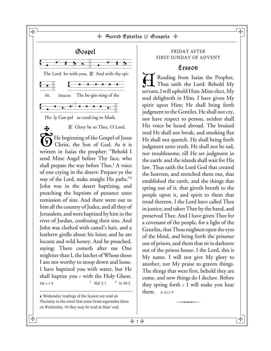

÷

they spring forth  $\cdot$  I will make you hear

 $\frac{1}{\sqrt{1 + \frac{1}{\sqrt{1 + \frac{1}{\sqrt{1 + \frac{1}{\sqrt{1 + \frac{1}{\sqrt{1 + \frac{1}{\sqrt{1 + \frac{1}{\sqrt{1 + \frac{1}{\sqrt{1 + \frac{1}{\sqrt{1 + \frac{1}{\sqrt{1 + \frac{1}{\sqrt{1 + \frac{1}{\sqrt{1 + \frac{1}{\sqrt{1 + \frac{1}{\sqrt{1 + \frac{1}{\sqrt{1 + \frac{1}{\sqrt{1 + \frac{1}{\sqrt{1 + \frac{1}{\sqrt{1 + \frac{1}{\sqrt{1 + \frac{1}{\sqrt{1 + \frac{1}{\sqrt{1 + \frac{1}{\sqrt{1 +$ 

them. Is 42:1-9

¶ Wednesday readings of the Season are read on Thursday in the event that some Feast supersedes them on Wednesday. Or they may be read at Mass' end.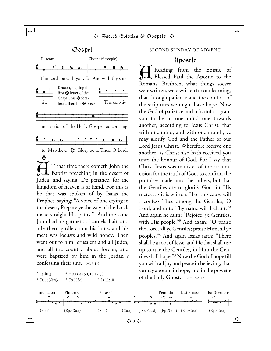Sacred Epistles & Gospels **<sup>~</sup> ¨ ` ` ¨ ¯** Intonation Phrase A Phrase B Penultim. Last Phrase for Questions Venution Phrase A Phrase B Penution. Last Phrase for Questions<br> **C ARR B**<sub>**A A A Phrase Phrase Phrase Phrase Phrase Phrase Phrase Phrase Phrase Phrase Phrase Phrase Phrase Phrase Phras</sub>**  (Ep.:) (Ep./Go.:) (Ep.:) (Go.:) {Db. Feast} (Ep./Go.:) (Ep./Go.:) (Ep./Go.:) **¨ ´** ( **´**) ... **`** Gospel Deacon: Choir ( $\circ$  people): The Lord be with you. R. And with thy spi-Deacon, signing the<br>tirst  $\blacktriangleright$  letter of the rit. head, then his **Y** breast: The con-ti-Vvvzhchcvzhczhzczhvvvzfvvvzhvvvzgb,vvvzhb.vv[vvhvvvzhvvvzhvvb nu- a- tion of the Ho-ly Gos-pel ac-cord-ing Velopolaries by Soo per according to Mat-thew.  $\mathbb{R}^n$  Glory be to Thee, O Lord.  $\dot{\rm H}$ S T that time there cometh John the Baptist preaching in the desert of Judea, and saying: Do penance, for the kingdom of heaven is at hand. For this is he that was spoken of by Isaias the Prophet, saying: "A voice of one crying in the desert, Prepare ye the way of the Lord, make straight His paths."**<sup>1</sup>** And the same John had his garment of camels' hair, and a leathern girdle about his loins, and his meat was locusts and wild honey. Then went out to him Jerusalem and all Judea, and all the country about Jordan, and were baptized by him in the Jordan  $\epsilon$ confessing their sins. Mt 3:1-6 *1* Is 40:3 *<sup>2</sup>*  $2$  Z Kgs 22:50, Ps 17:50 *3* Deut 32:43 *<sup>4</sup>*  $^{4}$  Ps 116:1  $5$  Is 11:10 Deacon: Choir ( $\Im$  people): Deacon, signing the first  $\blacktriangleright$  letter of the Gospel, his  $\blacktriangleright$  fore-

 $\frac{1}{2}$   $\frac{1}{2}$   $\frac{1}{2}$   $\frac{1}{2}$   $\frac{1}{2}$   $\frac{1}{2}$   $\frac{1}{2}$   $\frac{1}{2}$   $\frac{1}{2}$   $\frac{1}{2}$   $\frac{1}{2}$   $\frac{1}{2}$   $\frac{1}{2}$   $\frac{1}{2}$   $\frac{1}{2}$   $\frac{1}{2}$   $\frac{1}{2}$   $\frac{1}{2}$   $\frac{1}{2}$   $\frac{1}{2}$   $\frac{1}{2}$   $\frac{1}{2}$ 

#### SECOND SUNDAY OF ADVENT

## Apostle

Reading from the Epistle of Blessed Paul the Apostle to the Romans. Brethren, what things soever were written, were written for our learning, that through patience and the comfort of the scriptures we might have hope. Now the God of patience and of comfort grant you to be of one mind one towards another, according to Jesus Christ: that with one mind, and with one mouth, ye may glorify God and the Father of our Lord Jesus Christ. Wherefore receive one another, as Christ also hath received you unto the honour of God. For I say that Christ Jesus was minister of the circumcision for the truth of God, to confirm the promises made unto the fathers, but that the Gentiles are to glorify God for His mercy, as it is written: "For this cause will I confess Thee among the Gentiles, O Lord, and unto Thy name will I chant."**<sup>2</sup>** And again he saith: "Rejoice, ye Gentiles, with His people."**<sup>3</sup>** And again: "O praise the Lord, all ye Gentiles; praise Him, all ye peoples."**<sup>4</sup>** And again Isaias saith: "There shall be a root of Jesse; and He that shall rise up to rule the Gentiles, in Him the Gentiles shall hope."**5** Now the God of hope fill you with all joy and peace in believing, that ye may abound in hope, and in the power  $\cdot$ of the Holy Ghost. Rom 15:4-13



ᡩ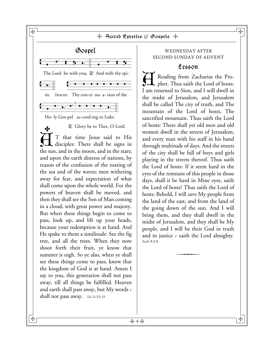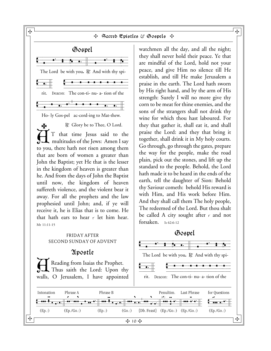

ᡩ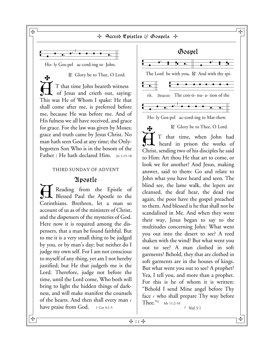

Ho- ly Gos-pel ac-cord-ing to John.

 $\mathbb{R}^n$ . Glory be to Thee, O Lord.  $\dot{\textup{H}}$ S T that time John beareth witness of Jesus and crieth out, saying: This was He of Whom I spake: He that shall come after me, is preferred before me, because He was before me. And of His fulness we all have received, and grace for grace. For the law was given by Moses; grace and truth came by Jesus Christ. No man hath seen God at any time; the Onlybegotten Son Who is in the bosom of the Father : He hath declared Him. In 1:15-18

## THIRD SUNDAY OF ADVENT

## Apostle

Reading from the Epistle of Blessed Paul the Apostle to the Corinthians. Brethren, let a man so account of us as of the ministers of Christ, and the dispensers of the mysteries of God. Here now it is required among the dispensers, that a man be found faithful. But to me it is a very small thing to be judged by you, or by man's day; but neither do I judge my own self. For I am not conscious to myself of any thing, yet am I not hereby justified; but He that judgeth me is the Lord. Therefore, judge not before the time, until the Lord come, Who both will bring to light the hidden things of darkness, and will make manifest the counsels of the hearts. And then shall every man  $\cdot$ have praise from God.  $1$  Cor 4:1-5

Gospel Vospel<br>Verticale voor voor de voor de voor de voor de voor de volgens van de volgens van de volgens van de voor de vo<br>Voor de volgens van de volgens van de volgens van de volgens van de volgens van de volgens van de volgen The Lord be with you. R. And with thy spirit. Deacon: The con-ti- nu- a- tion of the Vvvbfcbhcbbgb,cbhb.vv[vvhcbhcbhcbhcbbgb,cvzbgb,zzz}vb Ho- ly Gos-pel ac-cord-ing to Mat-thew.  $\mathbb R$ . Glory be to Thee, O Lord.  $\dot{\rm H}$  $\mathbf{F}$ T that time, when John had

heard in prison the works of Christ, sending two of his disciples he said to Him: Art thou He that art to come, or look we for another? And Jesus, making answer, said to them: Go and relate to John what you have heard and seen. The blind see, the lame walk, the lepers are cleansed, the deaf hear, the dead rise again, the poor have the gospel preached to them. And blessed is he that shall not be scandalized in Me. And when they went their way, Jesus began to say to the multitudes concerning John: What went you out into the desert to see? A reed shaken with the wind? But what went you out to see? A man clothed in soft garments? Behold, they that are clothed in soft garments are in the houses of kings. But what went you out to see? A prophet? Yea, I tell you, and more than a prophet. For this is he of whom it is written: "Behold I send Mine angel before Thy face  $\cdot$  who shall prepare Thy way before Thee."**1** Mt 11:2-10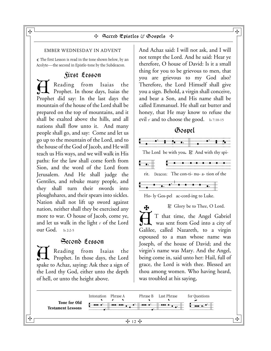#### EMBER WEDNESDAY IN ADVENT

¶ The first Lesson is read in the tone shown below, by an Acolyte—the second in Epistle-tone by the Subdeacon.

## First Lesson

A Reading from Isaias the Prophet. In those days, Isaias the Prophet did say: In the last days the mountain of the house of the Lord shall be prepared on the top of mountains, and it shall be exalted above the hills, and all nations shall flow unto it. And many people shall go, and say: Come and let us go up to the mountain of the Lord, and to the house of the God of Jacob, and He will teach us His ways, and we will walk in His paths: for the law shall come forth from Sion, and the word of the Lord from Jerusalem. And He shall judge the Gentiles, and rebuke many people, and they shall turn their swords into ploughshares, and their spears into sickles. Nation shall not lift up sword against nation, neither shall they be exercised any more to war. O house of Jacob, come ye, and let us walk in the light  $\cdot$  of the Lord our God. Is 2:2-5

Second Lesson A Reading from Isaias the Prophet. In those days, the Lord spake to Achaz, saying: Ask thee a sign of the Lord thy God, either unto the depth of hell, or unto the height above.

And Achaz said: I will not ask, and I will not tempt the Lord. And he said: Hear ye therefore, O house of David: Is it a small thing for you to be grievous to men, that you are grievous to my God also? Therefore, the Lord Himself shall give you a sign. Behold, a virgin shall conceive, and bear a Son, and His name shall be called Emmanuel. He shall eat butter and honey, that He may know to refuse the evil  $\cdot$  and to choose the good. Is 7:10-15



T that time, the Angel Gabriel<br>was sent from God into a city of T that time, the Angel Gabriel Galilee, called Nazareth, to a virgin espoused to a man whose name was Joseph, of the house of David; and the virgin's name was Mary. And the Angel, being come in, said unto her: Hail, full of grace, the Lord is with thee. Blessed art thou among women. Who having heard, was troubled at his saying,

 $\frac{1}{2}$   $\frac{1}{2}$ ᡩ **Tone for Old ` Testament Lessons Frame** Phrase A Phrase B Last Phrase for Questions Verbazhvall voor die verbaar van die verbaar van die volgens van die verbaard van die verbaard van die verbaard van die verbaard van die verbaard van die verbaard van die verbaard van die verbaard van die verbaard van die

 $\mathbf{H}$  (  $\blacksquare$  ) and the contract of the contract of the contract of the contract of the contract of the contract of the contract of the contract of the contract of the contract of the contract of the contract of the c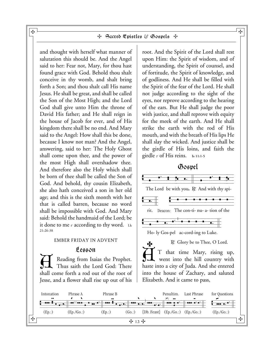and thought with herself what manner of salutation this should be. And the Angel said to her: Fear not, Mary, for thou hast found grace with God. Behold thou shalt conceive in thy womb, and shalt bring forth a Son; and thou shalt call His name Jesus. He shall be great, and shall be called the Son of the Most High; and the Lord God shall give unto Him the throne of David His father; and He shall reign in the house of Jacob for ever, and of His kingdom there shall be no end. And Mary said to the Angel: How shall this be done, because I know not man? And the Angel, answering, said to her: The Holy Ghost shall come upon thee, and the power of the most High shall overshadow thee. And therefore also the Holy which shall be born of thee shall be called the Son of God. And behold, thy cousin Elizabeth, she also hath conceived a son in her old age; and this is the sixth month with her that is called barren, because no word shall be impossible with God. And Mary said: Behold the handmaid of the Lord; be it done to me  $\epsilon$  according to thy word. Lk 21:26-38

#### EMBER FRIDAY IN ADVENT

## Lesson

Reading from Isaias the Prophet. Thus saith the Lord God: There shall come forth a rod out of the root of Jesse, and a flower shall rise up out of his

root. And the Spirit of the Lord shall rest upon Him: the Spirit of wisdom, and of understanding, the Spirit of counsel, and of fortitude, the Spirit of knowledge, and of godliness. And He shall be filled with the Spirit of the fear of the Lord. He shall not judge according to the sight of the eyes, nor reprove according to the hearing of the ears. But He shall judge the poor with justice, and shall reprove with equity for the meek of the earth. And He shall strike the earth with the rod of His mouth, and with the breath of His lips He shall slay the wicked. And justice shall be the girdle of His loins, and faith the girdle  $\cdot$  of His reins. **Is 11:1-5** 

## Gospel



 $\dot{\rm H}$ T that time Mary, rising up, went into the hill country with haste into a city of Juda. And she entered into the house of Zachary, and saluted Elizabeth. And it came to pass,



 $\mathbf{H}$  and the contract of the contract of the contract of the contract of  $\mathbf{H}$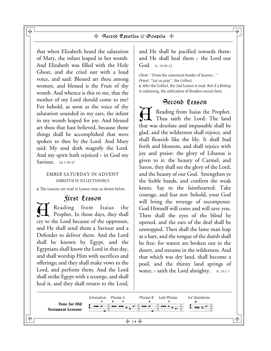that when Elizabeth heard the salutation of Mary, the infant leaped in her womb. And Elizabeth was filled with the Holy Ghost, and she cried out with a loud voice, and said: Blessed art thou among women, and blessed is the Fruit of thy womb. And whence is this to me, that the mother of my Lord should come to me? For behold, as soon as the voice of thy salutation sounded in my ears, the infant in my womb leaped for joy. And blessed art thou that hast believed, because those things shall be accomplished that were spoken to thee by the Lord. And Mary said: My soul doth magnify the Lord. And my spirit hath rejoiced  $\cdot$  in God my Saviour. Lk 1:39-47

#### EMBER SATURDAY IN ADVENT SABBATUM IN XII LECTIONIBUS

¶ The Lessons are read in Lesson-tone as shown below.

## First Lesson

Heading from Isaias the Reading from Isaias the cry to the Lord because of the oppressor, and He shall send them a Saviour and a Defender to deliver them. And the Lord shall be known by Egypt, and the Egyptians shall know the Lord in that day, and shall worship Him with sacrifices and offerings; and they shall make vows to the Lord, and perform them. And the Lord shall strike Egypt with a scourge, and shall heal it, and they shall return to the Lord, and He shall be pacified towards them: and He shall heal them  $\cdot$  the Lord our God. Is. 19:20-22

*Choir:* "From the outermost border of heaven..." *Priest:* "Let us pray"; the Collect. ¶ After the Collect, the 2nd Lesson is read. But if a Bishop is ordaining, the ordination of Readers occurs here.

## Second Lesson

A Reading from Isaias the Prophet. Thus saith the Lord: The land that was desolate and impassable shall be glad, and the wilderness shall rejoice, and shall flourish like the lily. It shall bud forth and blossom, and shall rejoice with joy and praise: the glory of Libanus is given to it: the beauty of Carmel, and Saron, they shall see the glory of the Lord, and the beauty of our God. Strengthen ye the feeble hands, and confirm the weak knees. Say to the fainthearted: Take courage, and fear not: behold, your God will bring the revenge of recompense: God Himself will come and will save you. Then shall the eyes of the blind be opened, and the ears of the deaf shall be unstopped. Then shall the lame man leap as a hart, and the tongue of the dumb shall be free: for waters are broken out in the desert, and streams in the wilderness. And that which was dry land, shall become a pool, and the thirsty land springs of water,  $\epsilon$  saith the Lord almighty. Is. 35:1-7



 $\mathbf{H}$  (  $\blacksquare$  ) and the contract of the contract of the contract of the contract of the contract of the contract of the contract of the contract of the contract of the contract of the contract of the contract of the c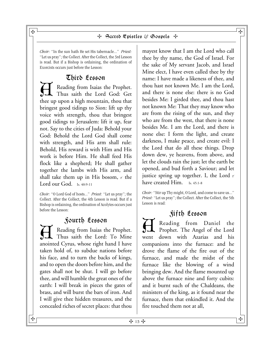*Choir:* "In the sun hath He set His tabernacle..." *Priest:* "Let us pray"; the Collect. After the Collect, the 3rd Lesson is read. But if a Bishop is ordaining, the ordination of Exorcists occurs just before the Lesson:

## Third Lesson

A Reading from Isaias the Prophet. Thus saith the Lord God: Get thee up upon a high mountain, thou that bringest good tidings to Sion: lift up thy voice with strength, thou that bringest good tidings to Jerusalem: lift it up, fear not. Say to the cities of Juda: Behold your God: Behold the Lord God shall come with strength, and His arm shall rule: Behold, His reward is with Him and His work is before Him. He shall feed His flock like a shepherd; He shall gather together the lambs with His arm, and shall take them up in His bosom,  $\cdot$  the Lord our God. Is. 40:9-11

*Choir:* "O Lord God of hosts..." *Priest:* "Let us pray"; the Collect. After the Collect, the 4th Lesson is read. But if a Bishop is ordaining, the ordination of Acolytes occurs just before the Lesson:

## Fourth Lesson

A Reading from Isaias the Prophet. Thus saith the Lord: To Mine anointed Cyrus, whose right hand I have taken hold of, to subdue nations before his face, and to turn the backs of kings, and to open the doors before him, and the gates shall not be shut. I will go before thee, and will humble the great ones of the earth: I will break in pieces the gates of brass, and will burst the bars of iron. And I will give thee hidden treasures, and the concealed riches of secret places: that thou

mayest know that I am the Lord who call thee by thy name, the God of Israel. For the sake of My servant Jacob, and Israel Mine elect, I have even called thee by thy name: I have made a likeness of thee, and thou hast not known Me. I am the Lord, and there is none else: there is no God besides Me: I girded thee, and thou hast not known Me: That they may know who are from the rising of the sun, and they who are from the west, that there is none besides Me. I am the Lord, and there is none else: I form the light, and create darkness, I make peace, and create evil: I the Lord that do all these things. Drop down dew, ye heavens, from above, and let the clouds rain the just; let the earth be opened, and bud forth a Saviour; and let justice spring up together. I, the Lord  $\cdot$ have created Him. Is. 45:1-8

*Choir:* "Stir up Thy might, O Lord, and come to save us..." *Priest:* "Let us pray"; the Collect. After the Collect, the 5th Lesson is read:

## Fifth Lesson

Reading from Daniel the Prophet. The Angel of the Lord went down with Azarias and his companions into the furnace: and he drove the flame of the fire out of the furnace, and made the midst of the furnace like the blowing of a wind bringing dew. And the flame mounted up above the furnace nine and forty cubits: and it burnt such of the Chaldeans, the ministers of the king, as it found near the furnace, them that enkindled it. And the fire touched them not at all,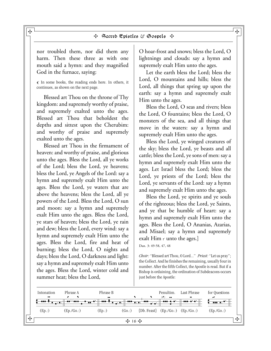nor troubled them, nor did them any harm. Then these three as with one mouth said a hymn: and they magnified God in the furnace, saying:

¶ In some books, the reading ends here. In others, it continues, as shown on the next page.

Blessed art Thou on the throne of Thy kingdom: and supremely worthy of praise, and supremely exalted unto the ages. Blessed art Thou that beholdest the depths and sittest upon the Cherubim: and worthy of praise and supremely exalted unto the ages.

Blessed art Thou in the firmament of heaven: and worthy of praise, and glorious unto the ages. Bless the Lord, all ye works of the Lord; bless the Lord, ye heavens; bless the Lord, ye Angels of the Lord: say a hymn and supremely exalt Him unto the ages. Bless the Lord, ye waters that are above the heavens; bless the Lord, all ye powers of the Lord. Bless the Lord, O sun and moon: say a hymn and supremely exalt Him unto the ages. Bless the Lord, ye stars of heaven; bless the Lord, ye rain and dew; bless the Lord, every wind: say a hymn and supremely exalt Him unto the ages. Bless the Lord, fire and heat of burning; bless the Lord, O nights and days; bless the Lord, O darkness and light: say a hymn and supremely exalt Him unto the ages. Bless the Lord, winter cold and summer heat; bless the Lord,

O hoar-frost and snows; bless the Lord, O lightnings and clouds: say a hymn and supremely exalt Him unto the ages.

Let the earth bless the Lord; bless the Lord, O mountains and hills; bless the Lord, all things that spring up upon the earth: say a hymn and supremely exalt Him unto the ages.

Bless the Lord, O seas and rivers; bless the Lord, O fountains; bless the Lord, O monsters of the sea, and all things that move in the waters: say a hymn and supremely exalt Him unto the ages.

Bless the Lord, ye winged creatures of the sky; bless the Lord, ye beasts and all cattle; bless the Lord, ye sons of men: say a hymn and supremely exalt Him unto the ages. Let Israel bless the Lord; bless the Lord, ye priests of the Lord; bless the Lord, ye servants of the Lord: say a hymn and supremely exalt Him unto the ages.

Bless the Lord, ye spirits and ye souls of the righteous; bless the Lord, ye Saints, and ye that be humble of heart: say a hymn and supremely exalt Him unto the ages. Bless the Lord, O Ananias, Azarias, and Misael; say a hymn and supremely exalt  $\text{Him} \cdot \text{unto}$  the ages.]

Dan. 3: 49-58, 47, 48

*Choir:* "Blessed art Thou, O Lord..." *Priest:* "Let us pray"; the Collect. And he finishes the remaining, usually four in number. After the fifth Collect, the Apostle is read. But if a Bishop is ordaining, the ordination of Subdeacons occurs just before the Apostle:

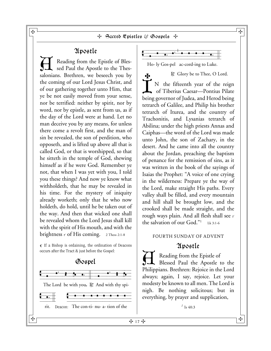## Apostle

Reading from the Epistle of Blessed Paul the Apostle to the Thessalonians. Brethren, we beseech you by the coming of our Lord Jesus Christ, and of our gathering together unto Him, that ye be not easily moved from your sense, nor be terrified: neither by spirit, nor by word, nor by epistle, as sent from us, as if the day of the Lord were at hand. Let no man deceive you by any means, for unless there come a revolt first, and the man of sin be revealed, the son of perdition, who opposeth, and is lifted up above all that is called God, or that is worshipped, so that he sitteth in the temple of God, shewing himself as if he were God. Remember ye not, that when I was yet with you, I told you these things? And now ye know what withholdeth, that he may be revealed in his time. For the mystery of iniquity already worketh; only that he who now holdeth, do hold, until he be taken out of the way. And then that wicked one shall be revealed whom the Lord Jesus shall kill with the spirit of His mouth, and with the brightness  $\cdot$  of His coming. 2 Thess 2:1-8

¶ If a Bishop is ordaining, the ordination of Deacons occurs after the Tract & just before the Gospel:

## Gospel





Ho- ly Gos-pel ac-cord-ing to Luke.

 $R$ . Glory be to Thee, O Lord.

I ት N the fifteenth year of the reign of Tiberius Caesar—Pontius Pilate being governor of Judea, and Herod being tetrarch of Galilee, and Philip his brother tetrarch of Iturea, and the country of Trachonitis, and Lysanias tetrarch of Abilina; under the high priests Annas and Caiphas—the word of the Lord was made unto John, the son of Zachary, in the desert. And he came into all the country about the Jordan, preaching the baptism of penance for the remission of sins, as it was written in the book of the sayings of Isaias the Prophet: "A voice of one crying in the wilderness: Prepare ye the way of the Lord, make straight His paths. Every valley shall be filled, and every mountain and hill shall be brought low, and the crooked shall be made straight, and the rough ways plain. And all flesh shall see : the salvation of our God."1 Lk 3:1-6

## FOURTH SUNDAY OF ADVENT

## Apostle

Reading from the Epistle of Blessed Paul the Apostle to the Philippians. Brethren: Rejoice in the Lord always; again, I say, rejoice. Let your modesty be known to all men. The Lord is nigh. Be nothing solicitous; but in everything, by prayer and supplication,

*<sup>1</sup>* Is 40:3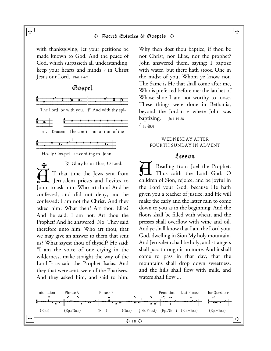

 $\frac{1}{2}$  18  $\frac{1}{2}$ 

ᡩ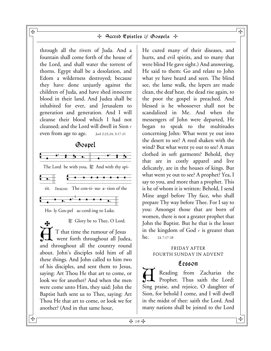through all the rivers of Juda. And a fountain shall come forth of the house of the Lord, and shall water the torrent of thorns. Egypt shall be a desolation, and Edom a wilderness destroyed; because they have done unjustly against the children of Juda, and have shed innocent blood in their land. And Judea shall be inhabited for ever, and Jerusalem to generation and generation. And I will cleanse their blood which I had not cleansed; and the Lord will dwell in Sion  $\cdot$ even from age to age. Joel 2:23,24; 3:17-21

## Gospel



Ho- ly Gos-pel ac-cord-ing to Luke.

 $\mathbb R$ . Glory be to Thee, O Lord.  $\bar{\text{H}}$  $\mathbf{F}$ T that time the rumour of Jesus went forth throughout all Judea, and throughout all the country round about. John's disciples told him of all these things. And John called to him two of his disciples, and sent them to Jesus, saying: Art Thou He that art to come, or look we for another? And when the men were come unto Him, they said: John the Baptist hath sent us to Thee, saying: Art Thou He that art to come, or look we for another? (And in that same hour,

He cured many of their diseases, and hurts, and evil spirits, and to many that were blind He gave sight.) And answering, He said to them: Go and relate to John what ye have heard and seen. The blind see, the lame walk, the lepers are made clean, the deaf hear, the dead rise again, to the poor the gospel is preached. And blessed is he whosoever shall not be scandalized in Me. And when the messengers of John were departed, He began to speak to the multitudes concerning John: What went ye out into the desert to see? A reed shaken with the wind? But what went ye out to see? A man clothed in soft garments? Behold, they that are in costly apparel and live delicately, are in the houses of kings. But what went ye out to see? A prophet? Yea, I say to you, and more than a prophet. This is he of whom it is written: Behold, I send Mine angel before Thy face, who shall prepare Thy way before Thee. For I say to you: Amongst those that are born of women, there is not a greater prophet that John the Baptist. But he that is the lesser in the kingdom of  $God \cdot$  is greater than he. Lk 7:17-28

## FRIDAY AFTER FOURTH SUNDAY IN ADVENT

## Lesson

Reading from Zacharias the Prophet. Thus saith the Lord: Sing praise, and rejoice, O daughter of Sion, for behold I come, and I will dwell in the midst of thee: saith the Lord. And many nations shall be joined to the Lord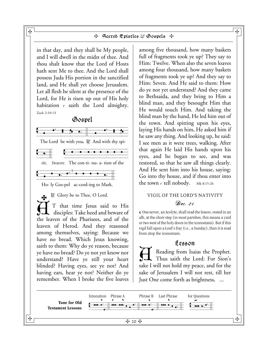#### $\mathbf{H}$  (  $\blacksquare$  ) and the contract of the contract of the contract of the contract of the contract of the contract of the contract of the contract of the contract of the contract of the contract of the contract of the c + Sacred Epistles & Gospels +

in that day, and they shall be My people, and I will dwell in the midst of thee. And thou shalt know that the Lord of Hosts hath sent Me to thee. And the Lord shall possess Juda His portion in the sanctified land, and He shall yet choose Jerusalem. Let all flesh be silent at the presence of the Lord, for He is risen up out of His holy habitation : saith the Lord almighty. Zach 2:10-13

## Gospel  $\frac{C_1}{C_1}$  vid  $\frac{C_2}{C_2}$

The Lord be with you. R. And with thy spi-

rit. Deacon: The con-ti- nu- a- tion of the

Ho- ly Gos-pel ac-cord-ing to Mark.

 $\mathbb{R}$  R. Glory be to Thee, O Lord. T that time Jesus said to His<br>disciples: Take heed and beware of T that time Jesus said to His the leaven of the Pharisees, and of the leaven of Herod. And they reasoned among themselves, saying: Because we have no bread. Which Jesus knowing, saith to them: Why do ye reason, because ye have no bread? Do ye not yet know nor understand? Have ye still your heart blinded? Having eyes, see ye not? And having ears, hear ye not? Neither do ye remember. When I broke the five loaves among five thousand, how many baskets full of fragments took ye up? They say to Him: Twelve. When also the seven loaves among four thousand, how many baskets of fragments took ye up? And they say to Him: Seven. And He said to them: How do ye not yet understand? And they came to Bethsaida, and they bring to Him a blind man, and they besought Him that He would touch Him. And taking the blind man by the hand, He led him out of the town. And spitting upon his eyes, laying His hands on him, He asked him if he saw any thing. And looking up, he said: I see men as it were trees, walking. After that again He laid His hands upon his eyes, and he began to see, and was restored, so that he saw all things clearly. And He sent him into his house, saying: Go into thy house, and if thou enter into the town  $\epsilon$  tell nobody. Mk 8:15-26

## VIGIL OF THE LORD'S NATIVITY  $\mathcal{D}$ ec. 24

¶ One server, an Acolyte, shall read the lesson, vested in an alb, at the choir step (in most parishes, this means a yard or two west of the holy doors in the iconostasis). But if this vigil fall upon a Lord's Day (i.e., a Sunday), then it is read from atop the iconostasis.

## Lesson

Reading from Isaias the Prophet. Thus saith the Lord: For Sion's sake I will not hold my peace, and for the sake of Jerusalem I will not rest, till her Just One come forth as brightness, ...

 $\frac{1}{20}$ ᡩ **Tone for Old ` Testament Lessons Frame** Phrase A Phrase B Last Phrase for Questions Verbazhvall voor die verbaar van die verbaar van die volgens van die verbaard van die verbaard van die verbaard van die verbaard van die verbaard van die verbaard van die verbaard van die verbaard van die verbaard van die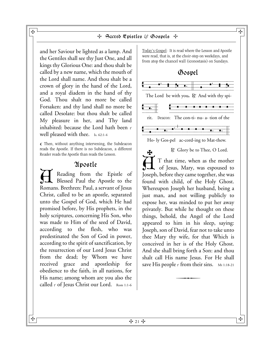and her Saviour be lighted as a lamp. And the Gentiles shall see thy Just One, and all kings thy Glorious One: and thou shalt be called by a new name, which the mouth of the Lord shall name. And thou shalt be a crown of glory in the hand of the Lord, and a royal diadem in the hand of thy God. Thou shalt no more be called Forsaken: and thy land shall no more be called Desolate: but thou shalt be called My pleasure in her, and Thy land inhabited: because the Lord hath been  $\epsilon$ well pleased with thee. Is. 62:1-4

¶ Then, without anything intervening, the Subdeacon reads the Apostle. If there is no Subdeacon, a different Reader reads the Apostle than reads the Lesson.

## Apostle

Reading from the Epistle of Blessed Paul the Apostle to the Romans. Brethren: Paul, a servant of Jesus Christ, called to be an apostle, separated unto the Gospel of God, which He had promised before, by His prophets, in the holy scriptures, concerning His Son, who was made to Him of the seed of David, according to the flesh, who was predestinated the Son of God in power, according to the spirit of sanctification, by the resurrection of our Lord Jesus Christ from the dead; by Whom we have received grace and apostleship for obedience to the faith, in all nations, for His name; among whom are you also the called : of Jesus Christ our Lord. Rom 1:1-6

Today's Gospel: It is read where the Lesson and Apostle were read, that is, at the choir-step on weekdays, and from atop the chancel wall (iconostasis) on Sundays.



Ho- ly Gos-pel ac-cord-ing to Mat-thew.

 $\mathbb R$ . Glory be to Thee, O Lord.  $\dot{\rm H}$  $\mathbf{F}$ T that time, when as the mother of Jesus, Mary, was espoused to Joseph, before they came together, she was found with child, of the Holy Ghost. Whereupon Joseph her husband, being a just man, and not willing publicly to expose her, was minded to put her away privately. But while he thought on these things, behold, the Angel of the Lord appeared to him in his sleep, saying: Joseph, son of David, fear not to take unto thee Mary thy wife, for that Which is conceived in her is of the Holy Ghost. And she shall bring forth a Son: and thou shalt call His name Jesus. For He shall save His people  $\cdot$  from their sins.  $Mt$  1:18-21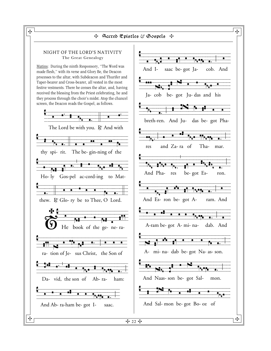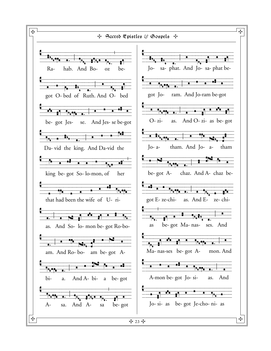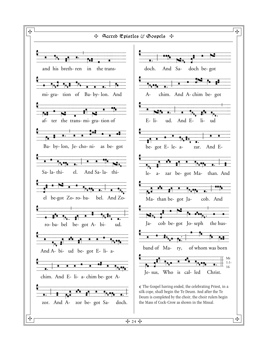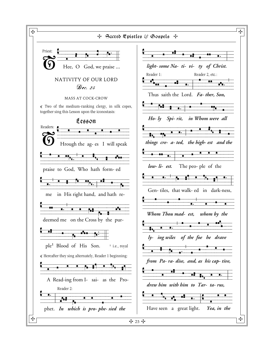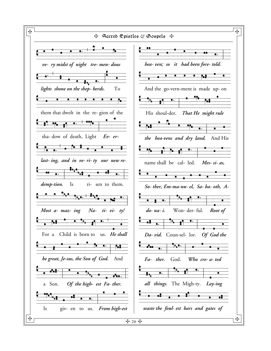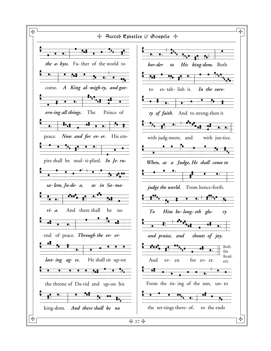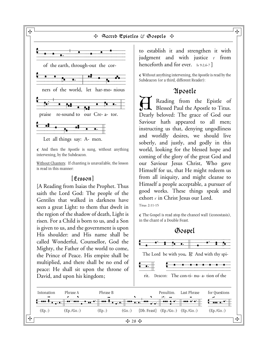

 $\sigma$  And then the Apostle is sung, without anything intervening, by the Subdeacon.

Without Chanters: If chanting is unavailable, the lesson is read in this manner:

## [Lesson]

[A Reading from Isaias the Prophet. Thus saith the Lord God: The people of the Gentiles that walked in darkness have seen a great Light: to them that dwelt in the region of the shadow of death, Light is risen. For a Child is born to us, and a Son is given to us, and the government is upon His shoulder: and His name shall be called Wonderful, Counsellor, God the Mighty, the Father of the world to come, the Prince of Peace. His empire shall be multiplied, and there shall be no end of peace: He shall sit upon the throne of David, and upon his kingdom;

to establish it and strengthen it with judgment and with justice  $\cdot$  from henceforth and for ever. Is 9:2,6-7 **]**

¶ Without anything intervening, the Apostle is read by the Subdeacon (or a third, different Reader):

## Apostle

Reading from the Epistle of Blessed Paul the Apostle to Titus. Dearly beloved: The grace of God our Saviour hath appeared to all men; instructing us that, denying ungodliness and worldly desires, we should live soberly, and justly, and godly in this world, looking for the blessed hope and coming of the glory of the great God and our Saviour Jesus Christ, Who gave Himself for us, that He might redeem us from all iniquity, and might cleanse to Himself a people acceptable, a pursuer of good works. These things speak and exhort  $\cdot$  in Christ Jesus our Lord.

Titus 2:11-15

¶ The Gospel is read atop the chancel wall (iconostasis), in the chant of a Double Feast.

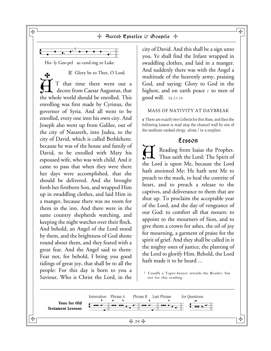

Ho- ly Gos-pel ac-cord-ing to Luke.

R. Glory be to Thee, O Lord.  $\dot{\rm H}$ ት T that time there went out a decree from Caesar Augustus, that the whole world should be enrolled. This enrolling was first made by Cyrinus, the governor of Syria. And all went to be enrolled, every one into his own city. And Joseph also went up from Galilee, out of the city of Nazareth, into Judea, to the city of David, which is called Bethlehem: because he was of the house and family of David, to be enrolled with Mary his espoused wife, who was with child. And it came to pass that when they were there her days were accomplished, that she should be delivered. And she brought forth her firstborn Son, and wrapped Him up in swaddling clothes, and laid Him in a manger, because there was no room for them in the inn. And there were in the same country shepherds watching, and keeping the night watches over their flock. And behold, an Angel of the Lord stood by them, and the brightness of God shone round about them, and they feared with a great fear. And the Angel said to them: Fear not, for behold, I bring you good tidings of great joy, that shall be to all the people: For this day is born to you a Saviour, Who is Christ the Lord, in the

city of David. And this shall be a sign unto you. Ye shall find the Infant wrapped in swaddling clothes, and laid in a manger. And suddenly there was with the Angel a multitude of the heavenly army, praising God, and saying: Glory to God in the highest, and on earth peace  $\cdot$  to men of good will.  $Lk 2:1-14$ 

#### MASS OF NATIVITY AT DAYBREAK

¶ There are exactly two Collects for this Mass, and then the following Lesson is read atop the chancel wall by one of the medium-ranked clergy, alone, $<sup>1</sup>$  in a surplice:</sup>

## Lesson

Reading from Isaias the Prophet. Thus saith the Lord: The Spirit of the Lord is upon Me, because the Lord hath anointed Me: He hath sent Me to preach to the meek, to heal the contrite of heart, and to preach a release to the captives, and deliverance to them that are shut up. To proclaim the acceptable year of the Lord, and the day of vengeance of our God: to comfort all that mourn: to appoint to the mourners of Sion, and to give them a crown for ashes, the oil of joy for mourning, a garment of praise for the spirit of grief. And they shall be called in it the mighty ones of justice, the planting of the Lord to glorify Him. Behold, the Lord hath made it to be heard ...

1 Usually a Taper-bearer attends the Reader, but not for this reading.



 $\mathbf{H}$  and the contract of the contract of the contract of the contract of  $\mathbf{H}$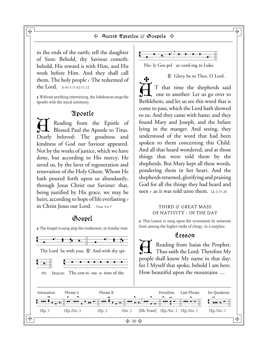$\boldsymbol{\ast}$ 

in the ends of the earth; tell the daughter of Sion: Behold, thy Saviour cometh: behold, His reward is with Him, and His work before Him. And they shall call them, The holy people  $\cdot$  The redeemed of the Lord. Is 61:1-3; 62:11,12

¶ Without anything intervening, the Subdeacon sings the Apostle with the usual ceremony.

## Apostle

Reading from the Epistle of Blessed Paul the Apostle to Titus. Dearly beloved: The goodness and kindness of God our Saviour appeared. Not by the works of justice, which we have done, but according to His mercy, He saved us, by the laver of regeneration and renovation of the Holy Ghost; Whom He hath poured forth upon us abundantly, through Jesus Christ our Saviour: that, being justified by His grace, we may be heirs, according to hope of life everlasting : in Christ Jesus our Lord. Titus 3:4-7

## Gospel

The Gospel is sung atop the roodscreen, in Sunday tone. The Lord be with you. R. And with thy spirit. Deacon: The con-ti- nu- a- tion of the



Ho- ly Gos-pel ac-cord-ing to Luke.

R. Glory be to Thee, O Lord.

 $\dot{\rm H}$ T that time the shepherds said one to another: Let us go over to Bethlehem, and let us see this word that is come to pass, which the Lord hath showed to us. And they came with haste; and they found Mary and Joseph, and the Infant lying in the manger. And seeing, they understood of the word that had been spoken to them concerning this Child. And all that heard wondered, and at those things that were told them by the shepherds. But Mary kept all these words, pondering them in her heart. And the shepherds returned, glorifying and praising God for all the things they had heard and seen  $\epsilon$  as it was told unto them. Lk 2:15-20

#### THIRD & GREAT MASS OF NATIVITY ~ IN THE DAY

 $\mathbb{F}$  This Lesson is sung upon the iconostasis by someone from among the higher ranks of clergy, in a surplice:

#### Lesson

A Reading from Isaias the Prophet. Thus saith the Lord: Therefore My people shall know My name in that day: for I Myself that spoke, behold I am here. How beautiful upon the mountains ...

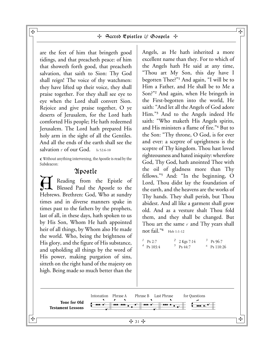are the feet of him that bringeth good tidings, and that preacheth peace: of him that showeth forth good, that preacheth salvation, that saith to Sion: Thy God shall reign! The voice of thy watchmen: they have lifted up their voice, they shall praise together. For they shall see eye to eye when the Lord shall convert Sion. Rejoice and give praise together, O ye deserts of Jerusalem, for the Lord hath comforted His people; He hath redeemed Jerusalem. The Lord hath prepared His holy arm in the sight of all the Gentiles. And all the ends of the earth shall see the salvation  $\epsilon$  of our God. Is 52:6-10

 ${\mathbb C}$  Without anything intervening, the Apostle is read by the Subdeacon:

## Apostle

A Reading from the Epistle of Blessed Paul the Apostle to the Hebrews. Brethren: God, Who at sundry times and in diverse manners spake in times past to the fathers by the prophets, last of all, in these days, hath spoken to us by His Son, Whom He hath appointed heir of all things, by Whom also He made the world. Who, being the brightness of His glory, and the figure of His substance, and upholding all things by the word of His power, making purgation of sins, sitteth on the right hand of the majesty on high. Being made so much better than the

Angels, as He hath inherited a more excellent name than they. For to which of the Angels hath He said at any time, "Thou art My Son, this day have I begotten Thee?"**<sup>1</sup>** And again, "I will be to Him a Father, and He shall be to Me a Son?"**2** And again, when He bringeth in the First-begotten into the world, He saith: "And let all the Angels of God adore Him."**<sup>3</sup>** And to the Angels indeed He saith: "Who maketh His Angels spirits, and His ministers a flame of fire."**<sup>4</sup>** But to the Son: "Thy throne, O God, is for ever and ever: a sceptre of uprightness is the sceptre of Thy kingdom. Thou hast loved righteousness and hated iniquity: wherefore God, Thy God, hath anointed Thee with the oil of gladness more than Thy fellows."**<sup>5</sup>** And: "In the beginning, O Lord, Thou didst lay the foundation of the earth, and the heavens are the works of Thy hands. They shall perish, but Thou abidest. And all like a garment shall grow old. And as a vesture shalt Thou fold them, and they shall be changed. But Thou art the same  $\cdot$  and Thy years shall not fail."**6** Heb 1:1-12

 $\frac{1}{4}$  Ps 2:7  $\frac{2}{5}$  2 Kgs 7:14  $\frac{3}{5}$  Ps 96:7<br>  $\frac{4}{5}$  Ps 103:4  $\frac{5}{5}$  Ps 44:7  $\frac{3}{5}$  Ps 110:26  $5 \text{ Ps } 44:7$ 



 $\mathbf{H}$  and the contract of the contract of the contract of the contract of  $\mathbf{H}$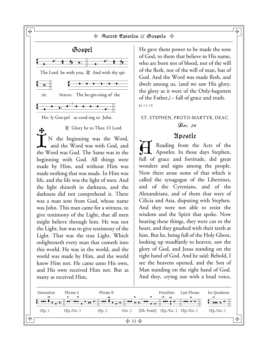

He gave them power to be made the sons of God, to them that believe in His name, who are born not of blood, nor of the will of the flesh, nor of the will of man, but of God. And the Word was made flesh, and dwelt among us, (and we saw His glory, the glory as it were of the Only-begotten of the Father,)  $\cdot$  full of grace and truth. Jn 1:1-14

## ST. STEPHEN, PROTO-MARTYR, DEAC. Dec. 26

## 2Ipostle

Reading from the Acts of the Apostles. In those days Stephen, full of grace and fortitude, did great wonders and signs among the people. Now there arose some of that which is called the synagogue of the Libertines, and of the Cyrenians, and of the Alexandrians, and of them that were of Cilicia and Asia, disputing with Stephen. And they were not able to resist the wisdom and the Spirit that spoke. Now hearing these things, they were cut to the heart, and they gnashed with their teeth at him. But he, being full of the Holy Ghost, looking up steadfastly to heaven, saw the glory of God, and Jesus standing on the right hand of God. And he said: Behold, I see the heavens opened, and the Son of Man standing on the right hand of God. And they, crying out with a loud voice,

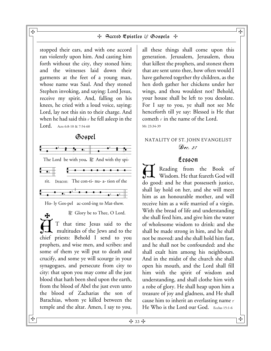stopped their ears, and with one accord ran violently upon him. And casting him forth without the city, they stoned him; and the witnesses laid down their garments at the feet of a young man, whose name was Saul. And they stoned Stephen invoking, and saying: Lord Jesus, receive my spirit. And, falling on his knees, he cried with a loud voice, saying: Lord, lay not this sin to their charge. And when he had said this  $\cdot$  he fell asleep in the **Lord.** Acts 6:8-10 & 7:54-60

## Gospel



Ho- ly Gos-pel ac-cord-ing to Mat-thew.

₩

 $\mathbb R$ . Glory be to Thee, O Lord.

 $\dot{\rm H}$ T that time Jesus said to the multitudes of the Jews and to the chief priests: Behold I send to you prophets, and wise men, and scribes: and some of them ye will put to death and crucify, and some ye will scourge in your synagogues, and persecute from city to city: that upon you may come all the just blood that hath been shed upon the earth, from the blood of Abel the just even unto the blood of Zacharias the son of Barachias, whom ye killed between the temple and the altar. Amen, I say to you,

all these things shall come upon this generation. Jerusalem, Jerusalem, thou that killest the prophets, and stonest them that are sent unto thee, how often would I have gathered together thy children, as the hen doth gather her chickens under her wings, and thou wouldest not? Behold, your house shall be left to you desolate. For I say to you, ye shall not see Me henceforth till ye say: Blessed is He that cometh  $\cdot$  in the name of the Lord. Mt 23:34-39

## NATALITY OF ST. JOHN EVANGELIST  $\mathcal{D}_{PC.}$  27

## Lesson

Reading from the Book of Wisdom. He that feareth God will do good: and he that possesseth justice, shall lay hold on her, and she will meet him as an honourable mother, and will receive him as a wife married of a virgin. With the bread of life and understanding she shall feed him, and give him the water of wholesome wisdom to drink: and she shall be made strong in him, and he shall not be moved: and she shall hold him fast, and he shall not be confounded: and she shall exalt him among his neighbours. And in the midst of the church she shall open his mouth, and the Lord shall fill him with the spirit of wisdom and understanding, and shall clothe him with a robe of glory. He shall heap upon him a treasure of joy and gladness, and He shall cause him to inherit an everlasting name  $\cdot$ He Who is the Lord our God. Ecclus 15:1-6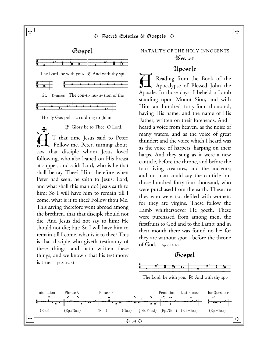Sacred Epistles & Gospels Gospel  $\frac{v}{\sqrt{2}}$  vooper The Lord be with you. R. And with thy spirit. Deacon: The con-ti- nu- a- tion of the Ho- ly Gos-pel ac-cord-ing to John. R. Glory be to Thee, O Lord.  $\dot{\rm H}$ S T that time Jesus said to Peter: Follow me. Peter, turning about, saw that disciple whom Jesus loved following, who also leaned on His breast at supper, and said: Lord, who is he that shall betray Thee? Him therefore when Peter had seen, he saith to Jesus: Lord, and what shall this man do? Jesus saith to him: So I will have him to remain till I come, what is it to thee? Follow thou Me. This saying therefore went abroad among the brethren, that that disciple should not die. And Jesus did not say to him: He should not die; but: So I will have him to remain till I come, what is it to thee? This is that disciple who giveth testimony of these things, and hath written these things; and we know  $\cdot$  that his testimony is true. Jn 21:19-24

## NATALITY OF THE HOLY INNOCENTS Dec. 28

## Apostle

Reading from the Book of the Apocalypse of Blessed John the Apostle. In those days: I beheld a Lamb standing upon Mount Sion, and with Him an hundred forty-four thousand, having His name, and the name of His Father, written on their foreheads. And I heard a voice from heaven, as the noise of many waters, and as the voice of great thunder; and the voice which I heard was as the voice of harpers, harping on their harps. And they sung as it were a new canticle, before the throne, and before the four living creatures, and the ancients; and no man could say the canticle but those hundred forty-four thousand, who were purchased from the earth. These are they who were not defiled with women: for they are virgins. These follow the Lamb whithersoever He goeth. These were purchased from among men, the firstfruits to God and to the Lamb: and in their mouth there was found no lie; for they are without spot  $\cdot$  before the throne of God. Apoc 14:1-5

## Gospel

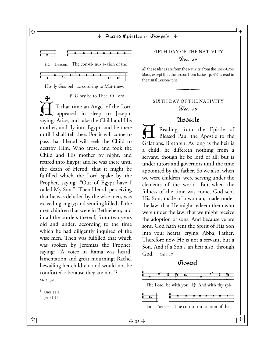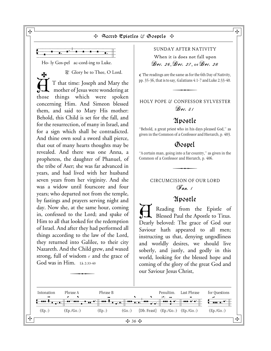

Ho- ly Gos-pel ac-cord-ing to Luke.

 $\mathbb R$ . Glory be to Thee, O Lord.  $\dot{\rm H}$ ł T that time: Joseph and Mary the mother of Jesus were wondering at those things which were spoken concerning Him. And Simeon blessed them, and said to Mary His mother: Behold, this Child is set for the fall, and for the resurrection, of many in Israel, and for a sign which shall be contradicted. And thine own soul a sword shall pierce, that out of many hearts thoughts may be revealed. And there was one Anna, a prophetess, the daughter of Phanuel, of the tribe of Aser; she was far advanced in years, and had lived with her husband seven years from her virginity. And she was a widow until fourscore and four years; who departed not from the temple, by fastings and prayers serving night and day. Now she, at the same hour, coming in, confessed to the Lord; and spake of Him to all that looked for the redemption of Israel. And after they had performed all things according to the law of the Lord, they returned into Galilee, to their city Nazareth. And the Child grew, and waxed strong, full of wisdom  $\cdot$  and the grace of God was in Him.  $1k$   $2:33-40$ 

## SUNDAY AFTER NATIVITY

When it is does not fall upon Dec. 26, Dec. 27, or Dec. 28

 $\mathbb T$  The readings are the same as for the 6th Day of Nativity, pp. 35-36, that is to say, Galatians 4:1-7 and Luke 2:33-40. e same as for th<br>ay, Galatians 4:1<br>**Allance** 

## HOLY POPE & CONFESSOR SYLVESTER  $\mathcal{D}$ ec. 31

## Apostle

"Behold, a great priest who in his days pleased God," as given in the Common of a Confessor and Hierarch, p. 403.

## Gospel

"A certain man, going into a far country," as given in the Common of a Confessor and Hierarch, p. 406. ig into a far cours<br>sor and Hierarc<br>expression

## CIRCUMCISION OF OUR LORD Jan. 1

## Apostle

A Reading from the Epistle of Blessed Paul the Apostle to Titus. Dearly beloved: The grace of God our Saviour hath appeared to all men; instructing us that, denying ungodliness and worldly desires, we should live soberly, and justly, and godly in this world, looking for the blessed hope and coming of the glory of the great God and our Saviour Jesus Christ,

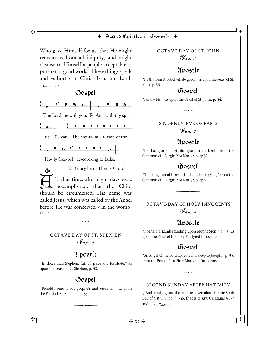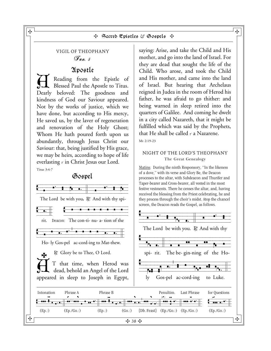## VIGIL OF THEOPHANY  $\mathscr{F}_{an.}$  5

## Apostle

Reading from the Epistle of Blessed Paul the Apostle to Titus. Dearly beloved: The goodness and kindness of God our Saviour appeared. Not by the works of justice, which we have done, but according to His mercy, He saved us, by the laver of regeneration and renovation of the Holy Ghost; Whom He hath poured forth upon us abundantly, through Jesus Christ our Saviour: that, being justified by His grace, we may be heirs, according to hope of life everlasting  $\cdot$  in Christ Jesus our Lord. Titus 3:4-7

## Gospel



saying: Arise, and take the Child and His mother, and go into the land of Israel. For they are dead that sought the life of the Child. Who arose, and took the Child and His mother, and came into the land of Israel. But hearing that Archelaus reigned in Judea in the room of Herod his father, he was afraid to go thither: and being warned in sleep retired into the quarters of Galilee. And coming he dwelt in a city called Nazareth, that it might be fulfilled which was said by the Prophets, that He shall be called  $\cdot$  a Nazarene. Mt 2:19-23

#### NIGHT OF THE LORD'S THEOPHANY The Great Genealogy

Matins: During the ninth Responsory, "In the likeness of a dove," with its verse and Glory Be, the Deacon processes to the altar, with Subdeacon and Thurifer and Taper-bearer and Cross-bearer, all vested in the most festive vestments. There he censes the altar, and, having received the blessing from the Priest celebrating, he and they process through the choir's midst. Atop the chancel

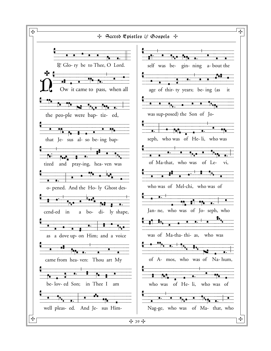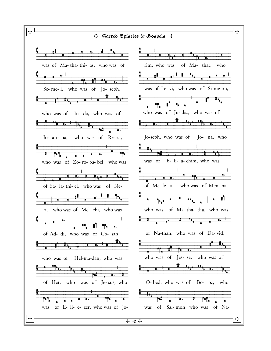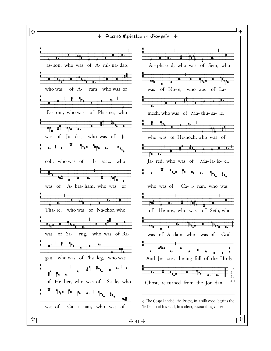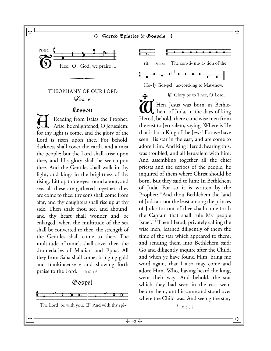#### $\mathbf{H}$  (  $\blacksquare$  ) and the contract of the contract of the contract of the contract of the contract of the contract of the contract of the contract of the contract of the contract of the contract of the contract of the c + Sacred Epistles & Gospels +



## THEOPHANY OF OUR LORD  $\mathcal{F}_{an.}$  6

## Lesson

Reading from Isaias the Prophet. Arise, be enlightened, O Jerusalem: for thy light is come, and the glory of the Lord is risen upon thee. For behold, darkness shall cover the earth, and a mist the people: but the Lord shall arise upon thee, and His glory shall be seen upon thee. And the Gentiles shall walk in thy light, and kings in the brightness of thy rising. Lift up thine eyes round about, and see: all these are gathered together, they are come to thee: thy sons shall come from afar, and thy daughters shall rise up at thy side. Then shalt thou see, and abound, and thy heart shall wonder and be enlarged, when the multitude of the sea shall be converted to thee, the strength of the Gentiles shall come to thee. The multitude of camels shall cover thee, the dromedaries of Madian and Epha. All they from Saba shall come, bringing gold and frankincense  $\cdot$  and showing forth praise to the Lord. Is 60:1-6







Ho- ly Gos-pel ac-cord-ing to Mat-thew.

 $R$ . Glory be to Thee, O Lord.  $\overline{\alpha}$  $\mathbf{F}$ Hen Jesus was born in Bethlehem of Juda, in the days of king Herod, behold, there came wise men from the east to Jerusalem, saying: Where is He that is born King of the Jews? For we have seen His star in the east, and are come to adore Him. And king Herod, hearing this, was troubled, and all Jerusalem with him. And assembling together all the chief priests and the scribes of the people, he inquired of them where Christ should be born. But they said to him: In Bethlehem of Juda. For so it is written by the Prophet: "And thou Bethlehem the land of Juda art not the least among the princes of Juda: for out of thee shall come forth the Captain that shall rule My people Israel."**1** Then Herod, privately calling the wise men, learned diligently of them the time of the star which appeared to them; and sending them into Bethlehem said: Go and diligently inquire after the Child, and when ye have found Him, bring me word again, that I also may come and adore Him. Who, having heard the king, went their way. And behold, the star which they had seen in the east went before them, until it came and stood over where the Child was. And seeing the star,

 $\frac{1}{2}$  Mic 5:2

ᡩ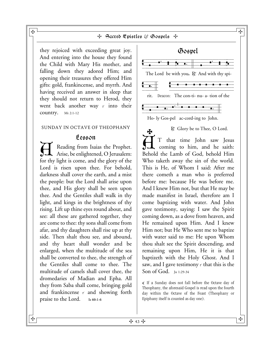they rejoiced with exceeding great joy. And entering into the house they found the Child with Mary His mother, and falling down they adored Him; and opening their treasures they offered Him gifts: gold, frankincense, and myrrh. And having received an answer in sleep that they should not return to Herod, they went back another way  $\epsilon$  into their country. Mt 2:1-12

#### SUNDAY IN OCTAVE OF THEOPHANY

## Lesson

Reading from Isaias the Prophet. Arise, be enlightened, O Jerusalem: for thy light is come, and the glory of the Lord is risen upon thee. For behold, darkness shall cover the earth, and a mist the people: but the Lord shall arise upon thee, and His glory shall be seen upon thee. And the Gentiles shall walk in thy light, and kings in the brightness of thy rising. Lift up thine eyes round about, and see: all these are gathered together, they are come to thee: thy sons shall come from afar, and thy daughters shall rise up at thy side. Then shalt thou see, and abound, and thy heart shall wonder and be enlarged, when the multitude of the sea shall be converted to thee, the strength of the Gentiles shall come to thee. The multitude of camels shall cover thee, the dromedaries of Madian and Epha. All they from Saba shall come, bringing gold and frankincense  $\cdot$  and showing forth praise to the Lord. **Is 60:1-6**



 $\mathbb R$ . Glory be to Thee, O Lord.  $\dot{\rm H}$ ∱ T that time John saw Jesus coming to him, and he saith: Behold the Lamb of God, behold Him Who taketh away the sin of the world. This is He, of Whom I said: After me there cometh a man who is preferred before me: because He was before me. And I knew Him not, but that He may be made manifest in Israel, therefore am I come baptizing with water. And John gave testimony, saying: I saw the Spirit coming down, as a dove from heaven, and He remained upon Him. And I knew Him not; but He Who sent me to baptize with water said to me: He upon Whom thou shalt see the Spirit descending, and remaining upon Him, He it is that baptizeth with the Holy Ghost. And I saw, and I gave testimony  $\cdot$  that this is the Son of God. Jn 1:29-34

¶ If a Sunday does not fall before the Octave day of Theophany, the aforesaid Gospel is read upon the fourth day within the Octave of the Feast (Theophany or Epiphany itself is counted as day one).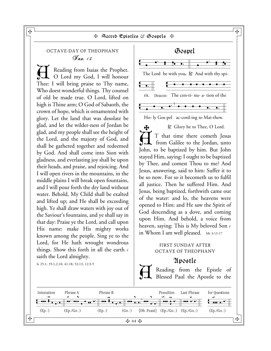## OCTAVE-DAY OF THEOPHANY Jan. 13

Reading from Isaias the Prophet. O Lord my God, I will honour Thee: I will bring praise to Thy name, Who doest wonderful things. Thy counsel of old be made true. O Lord, lifted on high is Thine arm; O God of Sabaoth, the crown of hope, which is ornamented with glory. Let the land that was desolate be glad, and let the wilder-ness of Jordan be glad, and my people shall see the height of the Lord, and the majesty of God, and shall be gathered together and redeemed by God. And shall come into Sion with gladness, and everlasting joy shall be upon their heads, and praise, and rejoicing. And I will open rivers in the mountains, in the middle plains I will break open fountains, and I will pour forth the dry land without water. Behold, My Child shall be exalted and lifted up; and He shall be exceeding high. Ye shall draw waters with joy out of the Saviour's fountains, and ye shall say in that day: Praise ye the Lord, and call upon His name: make His mighty works known among the people. Sing ye to the Lord, for He hath wrought wondrous things. Show this forth in all the earth  $\cdot$ saith the Lord almighty.

Is 25:1; 35:1,2,10; 41:18; 52:13; 12:3-5



#### FIRST SUNDAY AFTER OCTAVE OF THEOPHANY

in Whom I am well pleased. Mt 3:13-17

## Apostle

Reading from the Epistle of Blessed Paul the Apostle to the

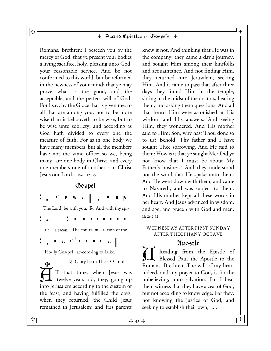Romans. Brethren: I beseech you by the mercy of God, that ye present your bodies a living sacrifice, holy, pleasing unto God, your reasonable service. And be not conformed to this world, but be reformed in the newness of your mind; that ye may prove what is the good, and the acceptable, and the perfect will of God. For I say, by the Grace that is given me, to all that are among you, not to be more wise than it behooveth to be wise, but to be wise unto sobriety, and according as God hath divided to every one the measure of faith. For as in one body we have many members, but all the members have not the same office: so we, being many, are one body in Christ, and every one members one of another  $\cdot$  in Christ Jesus our Lord. Rom. 12:1-5

## Gospel  $\frac{v}{\sqrt{2}}$ The Lord be with you. R. And with thy spirit. Deacon: The con-ti- nu- a- tion of the Free Deadlers. The con-u- nu- a- uon of  $\theta$ Ho- ly Gos-pel ac-cord-ing to Luke.  $\mathbb{R}^n$ . Glory be to Thee, O Lord.  $\dot{\textup{H}}$ ÷ T that time, when Jesus was twelve years old, they, going up into Jerusalem according to the custom of the feast, and having fulfilled the days, when they returned, the Child Jesus remained in Jerusalem; and His parents

knew it not. And thinking that He was in the company, they came a day's journey, and sought Him among their kinsfolks and acquaintance. And not finding Him, they returned into Jerusalem, seeking Him. And it came to pass that after three days they found Him in the temple, sitting in the midst of the doctors, hearing them, and asking them questions. And all that heard Him were astonished at His wisdom and His answers. And seeing Him, they wondered. And His mother said to Him: Son, why hast Thou done so to us? Behold, Thy father and I have sought Thee sorrowing. And He said to them: How is it that ye sought Me? Did ye not know that I must be about My Father's business? And they understood not the word that He spake unto them. And He went down with them, and came to Nazareth, and was subject to them. And His mother kept all these words in her heart. And Jesus advanced in wisdom, and age, and grace  $\cdot$  with God and men. Lk 2:42-52

## WEDNESDAY AFTER FIRST SUNDAY AFTER THEOPHANY OCTAVE

## Apostle

Reading from the Epistle of Blessed Paul the Apostle to the Romans. Brethren: The will of my heart indeed, and my prayer to God, is for the unbelieving, unto salvation. For I bear them witness that they have a zeal of God, but not according to knowledge. For they, not knowing the justice of God, and seeking to establish their own, ....